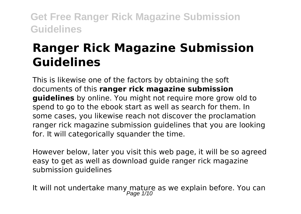# **Ranger Rick Magazine Submission Guidelines**

This is likewise one of the factors by obtaining the soft documents of this **ranger rick magazine submission guidelines** by online. You might not require more grow old to spend to go to the ebook start as well as search for them. In some cases, you likewise reach not discover the proclamation ranger rick magazine submission guidelines that you are looking for. It will categorically squander the time.

However below, later you visit this web page, it will be so agreed easy to get as well as download guide ranger rick magazine submission guidelines

It will not undertake many mature as we explain before. You can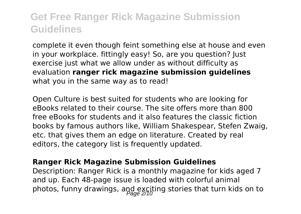complete it even though feint something else at house and even in your workplace. fittingly easy! So, are you question? Just exercise just what we allow under as without difficulty as evaluation **ranger rick magazine submission guidelines** what you in the same way as to read!

Open Culture is best suited for students who are looking for eBooks related to their course. The site offers more than 800 free eBooks for students and it also features the classic fiction books by famous authors like, William Shakespear, Stefen Zwaig, etc. that gives them an edge on literature. Created by real editors, the category list is frequently updated.

#### **Ranger Rick Magazine Submission Guidelines**

Description: Ranger Rick is a monthly magazine for kids aged 7 and up. Each 48-page issue is loaded with colorful animal photos, funny drawings, and exciting stories that turn kids on to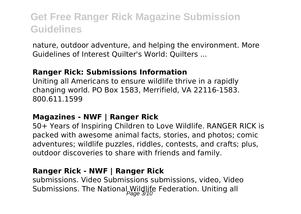nature, outdoor adventure, and helping the environment. More Guidelines of Interest Quilter's World: Quilters ...

#### **Ranger Rick: Submissions Information**

Uniting all Americans to ensure wildlife thrive in a rapidly changing world. PO Box 1583, Merrifield, VA 22116-1583. 800.611.1599

#### **Magazines - NWF | Ranger Rick**

50+ Years of Inspiring Children to Love Wildlife. RANGER RICK is packed with awesome animal facts, stories, and photos; comic adventures; wildlife puzzles, riddles, contests, and crafts; plus, outdoor discoveries to share with friends and family.

#### **Ranger Rick - NWF | Ranger Rick**

submissions. Video Submissions submissions, video, Video Submissions. The National Wildlife Federation. Uniting all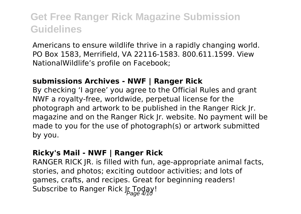Americans to ensure wildlife thrive in a rapidly changing world. PO Box 1583, Merrifield, VA 22116-1583. 800.611.1599. View NationalWildlife's profile on Facebook;

#### **submissions Archives - NWF | Ranger Rick**

By checking 'I agree' you agree to the Official Rules and grant NWF a royalty-free, worldwide, perpetual license for the photograph and artwork to be published in the Ranger Rick Jr. magazine and on the Ranger Rick Jr. website. No payment will be made to you for the use of photograph(s) or artwork submitted by you.

#### **Ricky's Mail - NWF | Ranger Rick**

RANGER RICK JR. is filled with fun, age-appropriate animal facts, stories, and photos; exciting outdoor activities; and lots of games, crafts, and recipes. Great for beginning readers! Subscribe to Ranger Rick Jr Today!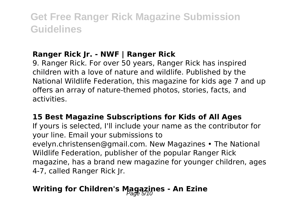### **Ranger Rick Jr. - NWF | Ranger Rick**

9. Ranger Rick. For over 50 years, Ranger Rick has inspired children with a love of nature and wildlife. Published by the National Wildlife Federation, this magazine for kids age 7 and up offers an array of nature-themed photos, stories, facts, and activities.

#### **15 Best Magazine Subscriptions for Kids of All Ages**

If yours is selected, I'll include your name as the contributor for your line. Email your submissions to evelyn.christensen@gmail.com. New Magazines • The National Wildlife Federation, publisher of the popular Ranger Rick magazine, has a brand new magazine for younger children, ages 4-7, called Ranger Rick Jr.

### **Writing for Children's Magazines - An Ezine**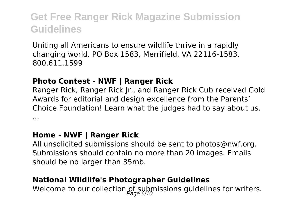Uniting all Americans to ensure wildlife thrive in a rapidly changing world. PO Box 1583, Merrifield, VA 22116-1583. 800.611.1599

#### **Photo Contest - NWF | Ranger Rick**

Ranger Rick, Ranger Rick Jr., and Ranger Rick Cub received Gold Awards for editorial and design excellence from the Parents' Choice Foundation! Learn what the judges had to say about us. ...

#### **Home - NWF | Ranger Rick**

All unsolicited submissions should be sent to photos@nwf.org. Submissions should contain no more than 20 images. Emails should be no larger than 35mb.

#### **National Wildlife's Photographer Guidelines**

Welcome to our collection of submissions guidelines for writers.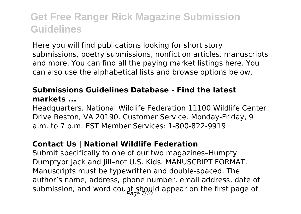Here you will find publications looking for short story submissions, poetry submissions, nonfiction articles, manuscripts and more. You can find all the paying market listings here. You can also use the alphabetical lists and browse options below.

#### **Submissions Guidelines Database - Find the latest markets ...**

Headquarters. National Wildlife Federation 11100 Wildlife Center Drive Reston, VA 20190. Customer Service. Monday-Friday, 9 a.m. to 7 p.m. EST Member Services: 1-800-822-9919

#### **Contact Us | National Wildlife Federation**

Submit specifically to one of our two magazines–Humpty Dumptyor Jack and Jill–not U.S. Kids. MANUSCRIPT FORMAT. Manuscripts must be typewritten and double-spaced. The author's name, address, phone number, email address, date of submission, and word count should appear on the first page of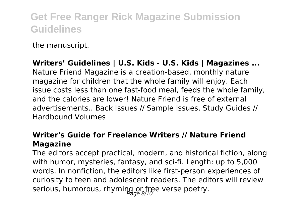the manuscript.

**Writers' Guidelines | U.S. Kids - U.S. Kids | Magazines ...** Nature Friend Magazine is a creation-based, monthly nature magazine for children that the whole family will enjoy. Each issue costs less than one fast-food meal, feeds the whole family, and the calories are lower! Nature Friend is free of external advertisements.. Back Issues // Sample Issues. Study Guides // Hardbound Volumes

#### **Writer's Guide for Freelance Writers // Nature Friend Magazine**

The editors accept practical, modern, and historical fiction, along with humor, mysteries, fantasy, and sci-fi. Length: up to 5,000 words. In nonfiction, the editors like first-person experiences of curiosity to teen and adolescent readers. The editors will review serious, humorous, rhyming or free verse poetry.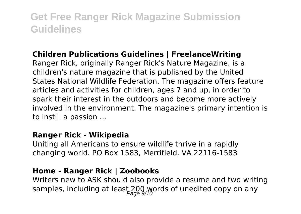#### **Children Publications Guidelines | FreelanceWriting**

Ranger Rick, originally Ranger Rick's Nature Magazine, is a children's nature magazine that is published by the United States National Wildlife Federation. The magazine offers feature articles and activities for children, ages 7 and up, in order to spark their interest in the outdoors and become more actively involved in the environment. The magazine's primary intention is to instill a passion ...

#### **Ranger Rick - Wikipedia**

Uniting all Americans to ensure wildlife thrive in a rapidly changing world. PO Box 1583, Merrifield, VA 22116-1583

#### **Home - Ranger Rick | Zoobooks**

Writers new to ASK should also provide a resume and two writing samples, including at least 200 words of unedited copy on any